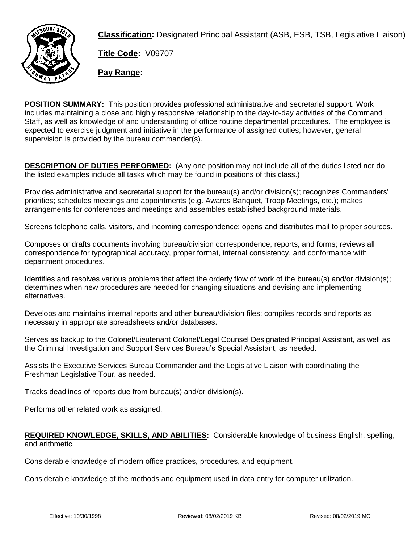

**Classification:** Designated Principal Assistant (ASB, ESB, TSB, Legislative Liaison)

**Title Code:** V09707

**Pay Range:** -

**POSITION SUMMARY:** This position provides professional administrative and secretarial support. Work includes maintaining a close and highly responsive relationship to the day-to-day activities of the Command Staff, as well as knowledge of and understanding of office routine departmental procedures. The employee is expected to exercise judgment and initiative in the performance of assigned duties; however, general supervision is provided by the bureau commander(s).

**DESCRIPTION OF DUTIES PERFORMED:** (Any one position may not include all of the duties listed nor do the listed examples include all tasks which may be found in positions of this class.)

Provides administrative and secretarial support for the bureau(s) and/or division(s); recognizes Commanders' priorities; schedules meetings and appointments (e.g. Awards Banquet, Troop Meetings, etc.); makes arrangements for conferences and meetings and assembles established background materials.

Screens telephone calls, visitors, and incoming correspondence; opens and distributes mail to proper sources.

Composes or drafts documents involving bureau/division correspondence, reports, and forms; reviews all correspondence for typographical accuracy, proper format, internal consistency, and conformance with department procedures.

Identifies and resolves various problems that affect the orderly flow of work of the bureau(s) and/or division(s); determines when new procedures are needed for changing situations and devising and implementing alternatives.

Develops and maintains internal reports and other bureau/division files; compiles records and reports as necessary in appropriate spreadsheets and/or databases.

Serves as backup to the Colonel/Lieutenant Colonel/Legal Counsel Designated Principal Assistant, as well as the Criminal Investigation and Support Services Bureau's Special Assistant, as needed.

Assists the Executive Services Bureau Commander and the Legislative Liaison with coordinating the Freshman Legislative Tour, as needed.

Tracks deadlines of reports due from bureau(s) and/or division(s).

Performs other related work as assigned.

## **REQUIRED KNOWLEDGE, SKILLS, AND ABILITIES:** Considerable knowledge of business English, spelling, and arithmetic.

Considerable knowledge of modern office practices, procedures, and equipment.

Considerable knowledge of the methods and equipment used in data entry for computer utilization.